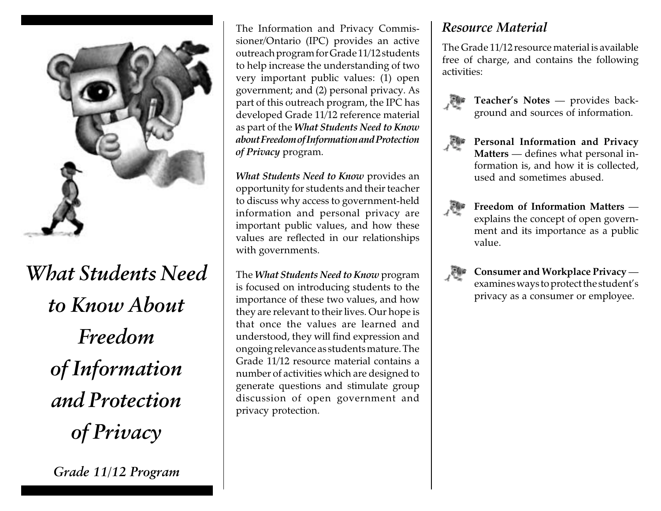

*What Students Need to Know About Freedom of Information and Protection of Privacy*

*Grade 11/12 Program*

The Information and Privacy Commissioner/Ontario (IPC) provides an active outreach program for Grade 11/12 students to help increase the understanding of two very important public values: (1) open government; and (2) personal privacy. As part of this outreach program, the IPC has developed Grade 11/12 reference material as part of the *What Students Need to Know about Freedom of Information and Protection of Privacy* program.

*What Students Need to Know* provides an opportunity for students and their teacher to discuss why access to government-held information and personal privacy are important public values, and how these values are reflected in our relationships with governments.

The *What Students Need to Know* program is focused on introducing students to the importance of these two values, and how they are relevant to their lives. Our hope is that once the values are learned and understood, they will find expression and ongoing relevance as students mature. The Grade 11/12 resource material contains a number of activities which are designed to generate questions and stimulate group discussion of open government and privacy protection.

## *Resource Material*

The Grade 11/12 resource material is available free of charge, and contains the following activities:



**Teacher's Notes** — provides background and sources of information.



**Personal Information and Privacy Matters** — defines what personal information is, and how it is collected, used and sometimes abused.



**Freedom of Information Matters** explains the concept of open government and its importance as a public value.



**Consumer and Workplace Privacy** examines ways to protect the student's privacy as a consumer or employee.